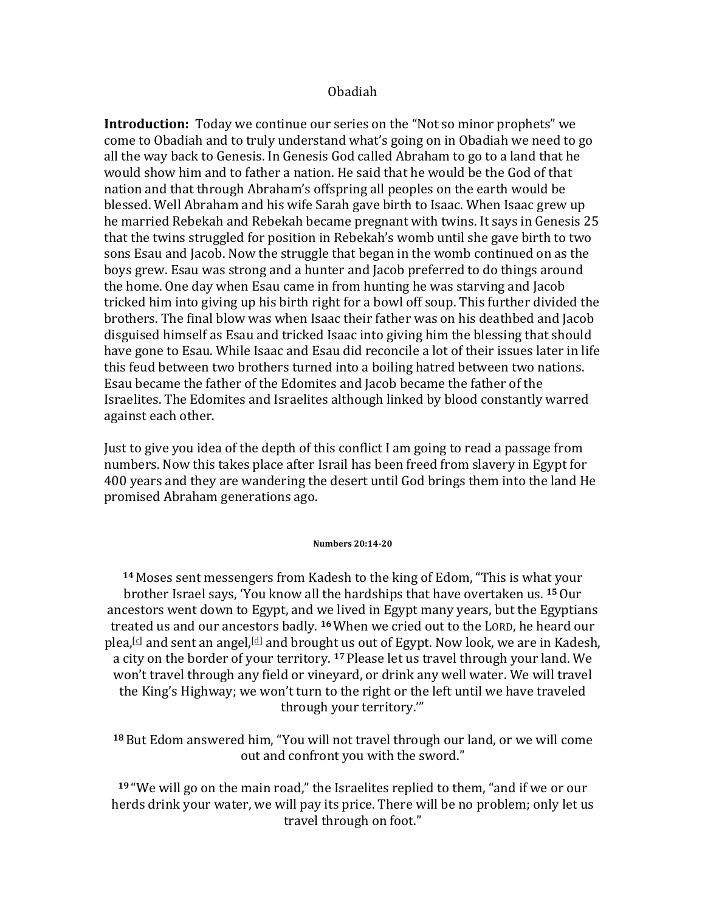#### Obadiah

**Introduction:** Today we continue our series on the "Not so minor prophets" we come to Obadiah and to truly understand what's going on in Obadiah we need to go all the way back to Genesis. In Genesis God called Abraham to go to a land that he would show him and to father a nation. He said that he would be the God of that nation and that through Abraham's offspring all peoples on the earth would be blessed. Well Abraham and his wife Sarah gave birth to Isaac. When Isaac grew up he married Rebekah and Rebekah became pregnant with twins. It says in Genesis 25 that the twins struggled for position in Rebekah's womb until she gave birth to two sons Esau and Jacob. Now the struggle that began in the womb continued on as the boys grew. Esau was strong and a hunter and Jacob preferred to do things around the home. One day when Esau came in from hunting he was starving and Jacob tricked him into giving up his birth right for a bowl off soup. This further divided the brothers. The final blow was when Isaac their father was on his deathbed and Jacob disguised himself as Esau and tricked Isaac into giving him the blessing that should have gone to Esau. While Isaac and Esau did reconcile a lot of their issues later in life this feud between two brothers turned into a boiling hatred between two nations. Esau became the father of the Edomites and Jacob became the father of the Israelites. The Edomites and Israelites although linked by blood constantly warred against each other.

Just to give you idea of the depth of this conflict I am going to read a passage from numbers. Now this takes place after Israil has been freed from slavery in Egypt for 400 years and they are wandering the desert until God brings them into the land He promised Abraham generations ago.

#### **Numbers 20:14-20**

**14** Moses sent messengers from Kadesh to the king of Edom, "This is what your brother Israel says, 'You know all the hardships that have overtaken us. <sup>15</sup> Our ancestors went down to Egypt, and we lived in Egypt many years, but the Egyptians treated us and our ancestors badly. <sup>16</sup> When we cried out to the LORD, he heard our plea,<sup>[c]</sup> and sent an angel,<sup>[d]</sup> and brought us out of Egypt. Now look, we are in Kadesh, a city on the border of your territory. <sup>17</sup> Please let us travel through your land. We won't travel through any field or vineyard, or drink any well water. We will travel the King's Highway; we won't turn to the right or the left until we have traveled through your territory."

<sup>18</sup> But Edom answered him, "You will not travel through our land, or we will come out and confront you with the sword."

**19** "We will go on the main road," the Israelites replied to them, "and if we or our herds drink your water, we will pay its price. There will be no problem; only let us travel through on foot."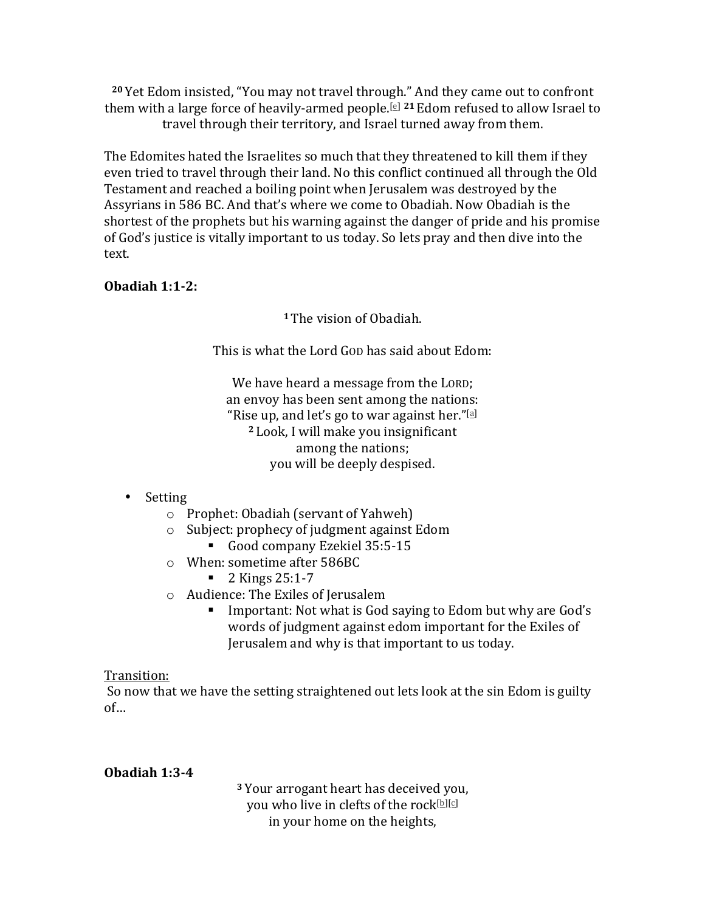<sup>20</sup> Yet Edom insisted, "You may not travel through." And they came out to confront them with a large force of heavily-armed people.<sup>[e] 21</sup> Edom refused to allow Israel to travel through their territory, and Israel turned away from them.

The Edomites hated the Israelites so much that they threatened to kill them if they even tried to travel through their land. No this conflict continued all through the Old Testament and reached a boiling point when Jerusalem was destroyed by the Assyrians in 586 BC. And that's where we come to Obadiah. Now Obadiah is the shortest of the prophets but his warning against the danger of pride and his promise of God's justice is vitally important to us today. So lets pray and then dive into the text. 

## **Obadiah 1:1-2:**

<sup>1</sup> The vision of Obadiah.

This is what the Lord GOD has said about Edom:

We have heard a message from the LORD; an envoy has been sent among the nations: "Rise up, and let's go to war against her." $[$ a] <sup>2</sup> Look, I will make you insignificant among the nations; you will be deeply despised.

# • Setting

- $\circ$  Prophet: Obadiah (servant of Yahweh)
- o Subject: prophecy of judgment against Edom
	- Good company Ezekiel 35:5-15
- $\circ$  When: sometime after 586BC
	- 2 Kings 25:1-7
- $\circ$  Audience: The Exiles of Jerusalem
	- Important: Not what is God saying to Edom but why are God's words of judgment against edom important for the Exiles of Jerusalem and why is that important to us today.

## Transition:

So now that we have the setting straightened out lets look at the sin Edom is guilty of…

## **Obadiah 1:3-4**

<sup>3</sup> Your arrogant heart has deceived you, vou who live in clefts of the rock[b][c] in your home on the heights,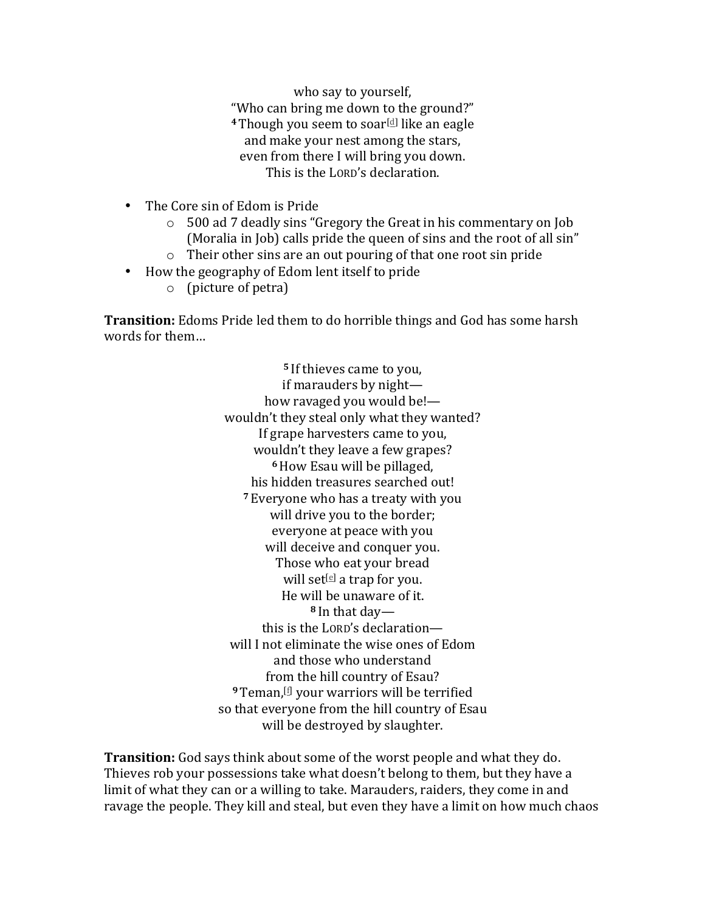who say to yourself, "Who can bring me down to the ground?" <sup>4</sup> Though you seem to soar<sup>[d]</sup> like an eagle and make your nest among the stars, even from there I will bring you down. This is the LORD's declaration.

- The Core sin of Edom is Pride
	- $\circ$  500 ad 7 deadly sins "Gregory the Great in his commentary on Job (Moralia in Job) calls pride the queen of sins and the root of all sin"
	- $\circ$  Their other sins are an out pouring of that one root sin pride
- How the geography of Edom lent itself to pride
	- $\circ$  (picture of petra)

**Transition:** Edoms Pride led them to do horrible things and God has some harsh words for them...

> <sup>5</sup> If thieves came to you, if marauders by night how ravaged you would be!wouldn't they steal only what they wanted? If grape harvesters came to you, wouldn't they leave a few grapes? **<sup>6</sup>**How Esau will be pillaged, his hidden treasures searched out! <sup>7</sup> Everyone who has a treaty with you will drive you to the border; everyone at peace with you will deceive and conquer you. Those who eat your bread will set<sup>[e]</sup> a trap for you. He will be unaware of it. 8 In that daythis is the LORD's declarationwill I not eliminate the wise ones of Edom and those who understand from the hill country of Esau? <sup>9</sup> Teman, <sup>[f]</sup> your warriors will be terrified so that everyone from the hill country of Esau will be destroyed by slaughter.

**Transition:** God says think about some of the worst people and what they do. Thieves rob your possessions take what doesn't belong to them, but they have a limit of what they can or a willing to take. Marauders, raiders, they come in and ravage the people. They kill and steal, but even they have a limit on how much chaos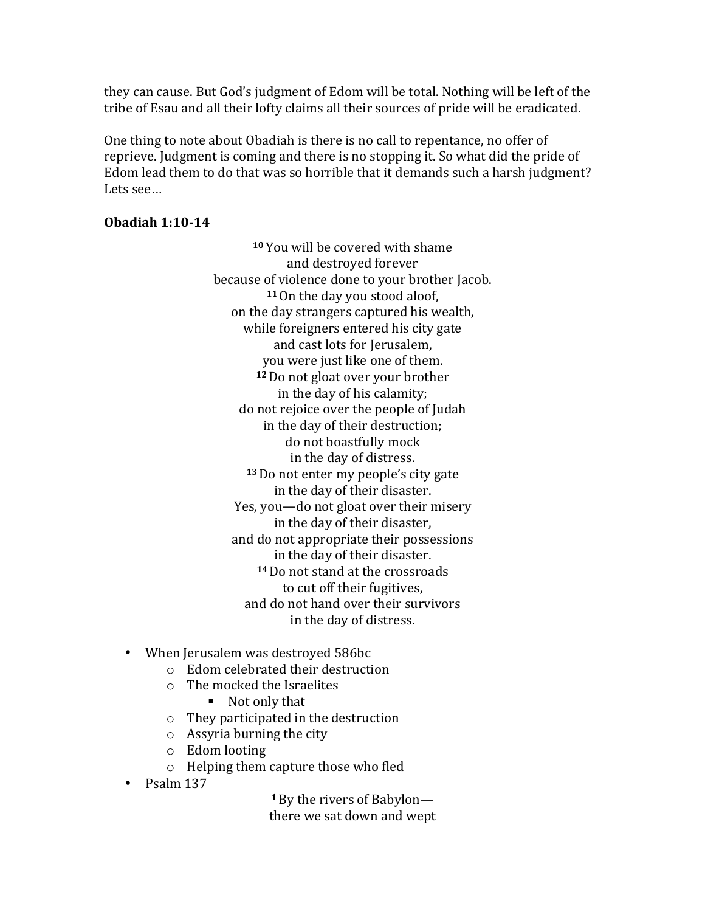they can cause. But God's judgment of Edom will be total. Nothing will be left of the tribe of Esau and all their lofty claims all their sources of pride will be eradicated.

One thing to note about Obadiah is there is no call to repentance, no offer of reprieve. Judgment is coming and there is no stopping it. So what did the pride of Edom lead them to do that was so horrible that it demands such a harsh judgment? Lets see… 

### **Obadiah 1:10-14**

<sup>10</sup> You will be covered with shame and destroyed forever because of violence done to your brother Jacob. 11 On the day you stood aloof, on the day strangers captured his wealth, while foreigners entered his city gate and cast lots for Jerusalem, you were just like one of them. <sup>12</sup> Do not gloat over your brother in the day of his calamity; do not rejoice over the people of Judah in the day of their destruction: do not boastfully mock in the day of distress. <sup>13</sup> Do not enter my people's city gate in the day of their disaster. Yes, you—do not gloat over their misery in the day of their disaster, and do not appropriate their possessions in the day of their disaster. <sup>14</sup> Do not stand at the crossroads to cut off their fugitives, and do not hand over their survivors in the day of distress.

- When Jerusalem was destroyed 586bc
	- $\circ$  Edom celebrated their destruction
	- $\circ$  The mocked the Israelites
		- Not only that
	- $\circ$  They participated in the destruction
	- $\circ$  Assyria burning the city
	- o Edom looting
	- $\circ$  Helping them capture those who fled
- Psalm 137

**1** By the rivers of Babylon there we sat down and wept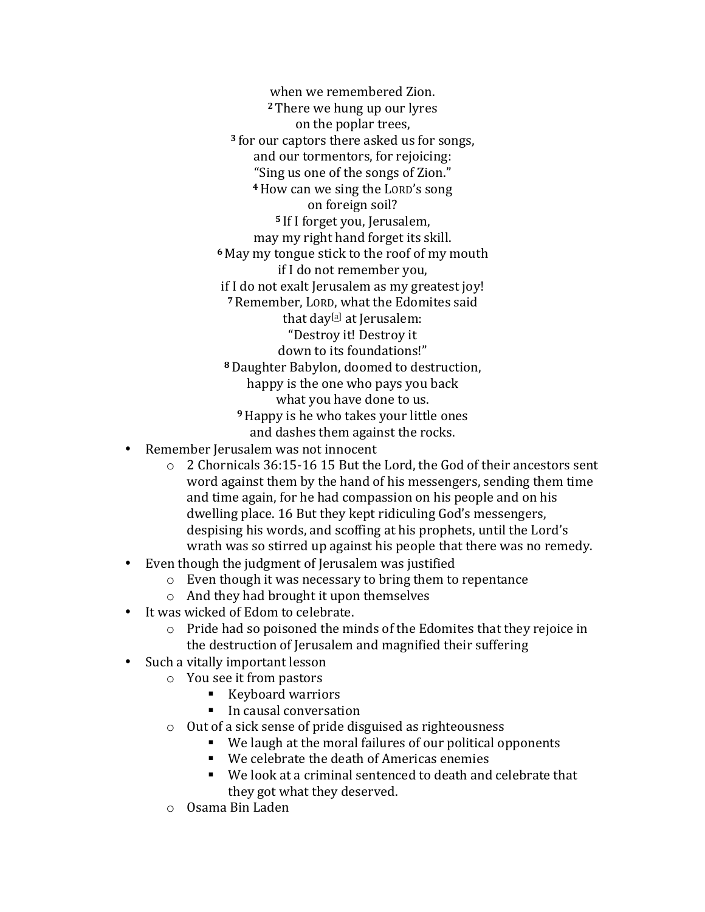when we remembered Zion. **2** There we hung up our lyres on the poplar trees, <sup>3</sup> for our captors there asked us for songs, and our tormentors, for rejoicing: "Sing us one of the songs of Zion." <sup>4</sup> How can we sing the LORD's song on foreign soil? <sup>5</sup> If I forget you, Jerusalem, may my right hand forget its skill. <sup>6</sup> May my tongue stick to the roof of my mouth if I do not remember you, if I do not exalt Jerusalem as my greatest joy! <sup>7</sup> Remember, LORD, what the Edomites said that  $day^{[a]}$  at Jerusalem: "Destroy it! Destroy it down to its foundations!" <sup>8</sup> Daughter Babylon, doomed to destruction, happy is the one who pays you back what you have done to us. <sup>9</sup> Happy is he who takes your little ones and dashes them against the rocks.

- Remember Jerusalem was not innocent
	- $\circ$  2 Chornicals 36:15-16 15 But the Lord, the God of their ancestors sent word against them by the hand of his messengers, sending them time and time again, for he had compassion on his people and on his dwelling place. 16 But they kept ridiculing God's messengers, despising his words, and scoffing at his prophets, until the Lord's wrath was so stirred up against his people that there was no remedy.
- Even though the judgment of Jerusalem was justified
	- $\circ$  Even though it was necessary to bring them to repentance
	- $\circ$  And they had brought it upon themselves
- It was wicked of Edom to celebrate.
	- $\circ$  Pride had so poisoned the minds of the Edomites that they rejoice in the destruction of Jerusalem and magnified their suffering
- Such a vitally important lesson
	- $\circ$  You see it from pastors
		- Keyboard warriors
		- In causal conversation
		- $\circ$  Out of a sick sense of pride disguised as righteousness
			- We laugh at the moral failures of our political opponents
			- We celebrate the death of Americas enemies
			- We look at a criminal sentenced to death and celebrate that they got what they deserved.
		- o Osama Bin Laden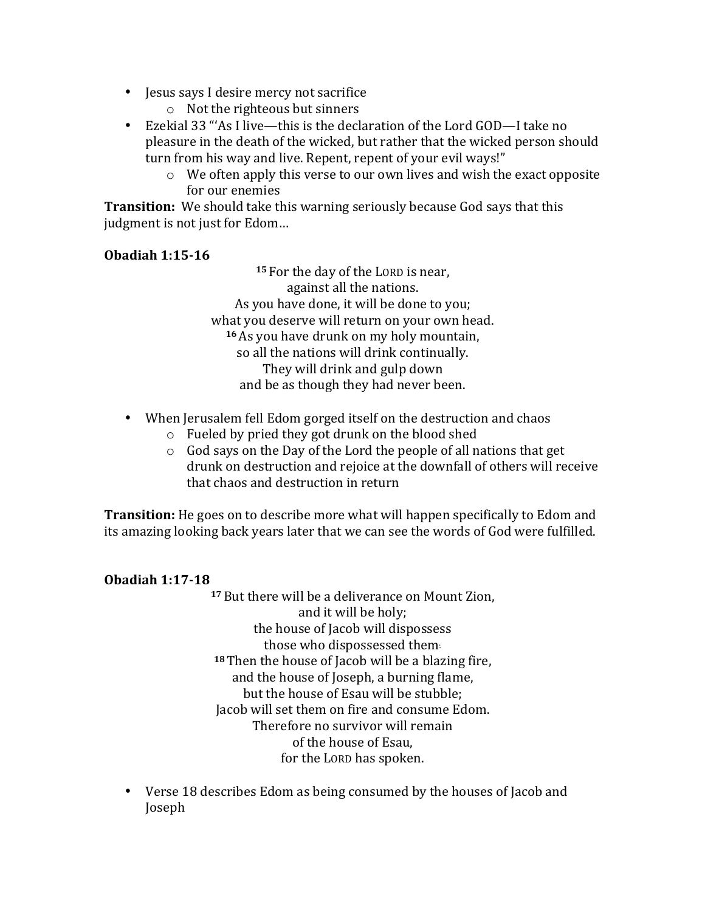- Jesus says I desire mercy not sacrifice
	- $\circ$  Not the righteous but sinners
- Ezekial 33 "'As I live—this is the declaration of the Lord GOD—I take no pleasure in the death of the wicked, but rather that the wicked person should turn from his way and live. Repent, repent of your evil ways!"
	- $\circ$  We often apply this verse to our own lives and wish the exact opposite for our enemies

**Transition:** We should take this warning seriously because God says that this judgment is not just for Edom...

# **Obadiah 1:15-16**

15 For the day of the LORD is near, against all the nations. As you have done, it will be done to you; what you deserve will return on your own head. <sup>16</sup> As you have drunk on my holy mountain, so all the nations will drink continually. They will drink and gulp down and be as though they had never been.

- When Jerusalem fell Edom gorged itself on the destruction and chaos
	- $\circ$  Fueled by pried they got drunk on the blood shed
	- $\circ$  God says on the Day of the Lord the people of all nations that get drunk on destruction and rejoice at the downfall of others will receive that chaos and destruction in return

**Transition:** He goes on to describe more what will happen specifically to Edom and its amazing looking back years later that we can see the words of God were fulfilled.

# **Obadiah 1:17-18**

<sup>17</sup> But there will be a deliverance on Mount Zion, and it will be holy; the house of Jacob will dispossess those who dispossessed them-<sup>18</sup> Then the house of Jacob will be a blazing fire, and the house of Joseph, a burning flame, but the house of Esau will be stubble; Jacob will set them on fire and consume Edom. Therefore no survivor will remain of the house of Esau, for the LORD has spoken.

• Verse 18 describes Edom as being consumed by the houses of Jacob and Joseph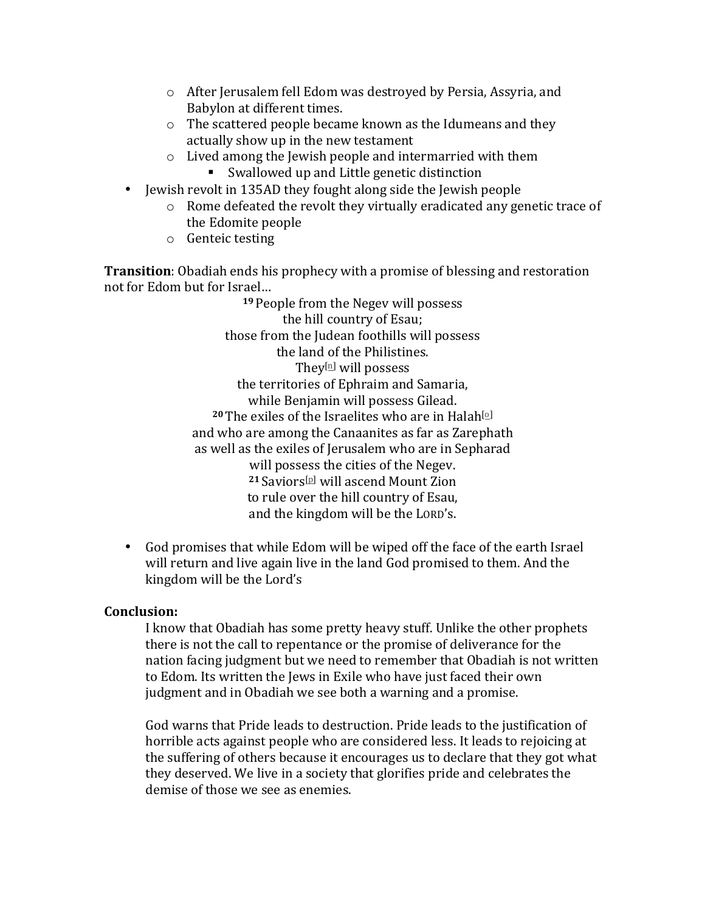- $\circ$  After Jerusalem fell Edom was destroyed by Persia, Assyria, and Babylon at different times.
- $\circ$  The scattered people became known as the Idumeans and they actually show up in the new testament
- $\circ$  Lived among the Jewish people and intermarried with them ■ Swallowed up and Little genetic distinction
- Jewish revolt in 135AD they fought along side the Jewish people
	- $\circ$  Rome defeated the revolt they virtually eradicated any genetic trace of the Edomite people
	- $\circ$  Genteic testing

**Transition**: Obadiah ends his prophecy with a promise of blessing and restoration not for Edom but for Israel...

> <sup>19</sup> People from the Negev will possess the hill country of Esau; those from the Judean foothills will possess the land of the Philistines. They $[n]$  will possess the territories of Ephraim and Samaria, while Benjamin will possess Gilead. **20** The exiles of the Israelites who are in Halah<sup>[o]</sup> and who are among the Canaanites as far as Zarephath as well as the exiles of Jerusalem who are in Sepharad will possess the cities of the Negev. <sup>21</sup> Saviors<sup>[p]</sup> will ascend Mount Zion to rule over the hill country of Esau, and the kingdom will be the LORD's.

• God promises that while Edom will be wiped off the face of the earth Israel will return and live again live in the land God promised to them. And the kingdom will be the Lord's

#### **Conclusion:**

I know that Obadiah has some pretty heavy stuff. Unlike the other prophets there is not the call to repentance or the promise of deliverance for the nation facing judgment but we need to remember that Obadiah is not written to Edom. Its written the Jews in Exile who have just faced their own judgment and in Obadiah we see both a warning and a promise.

God warns that Pride leads to destruction. Pride leads to the justification of horrible acts against people who are considered less. It leads to rejoicing at the suffering of others because it encourages us to declare that they got what they deserved. We live in a society that glorifies pride and celebrates the demise of those we see as enemies.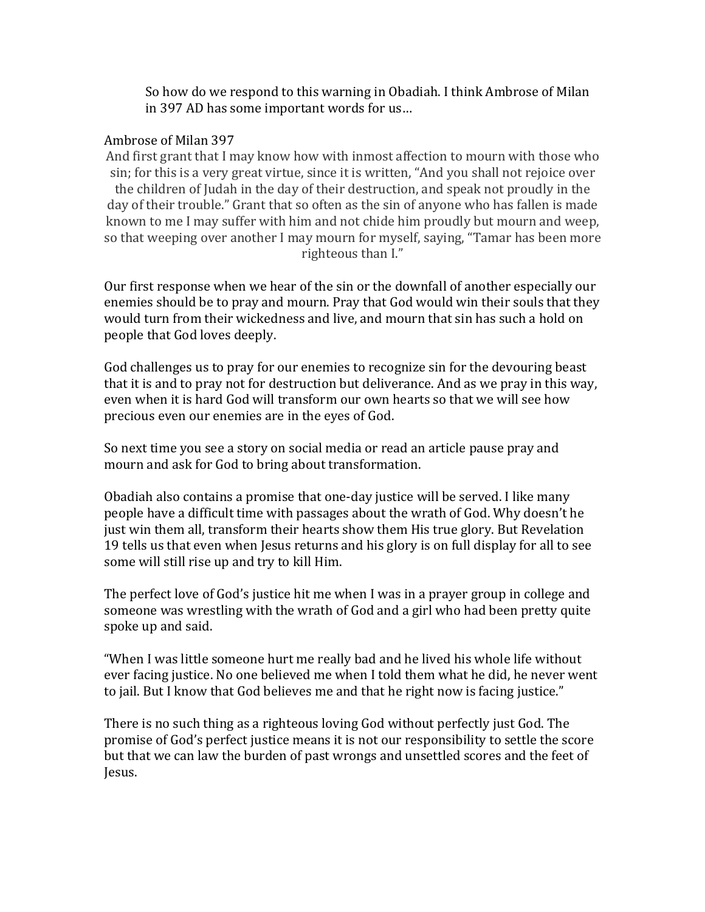So how do we respond to this warning in Obadiah. I think Ambrose of Milan in 397 AD has some important words for us...

#### Ambrose of Milan 397

And first grant that I may know how with inmost affection to mourn with those who sin; for this is a very great virtue, since it is written, "And you shall not rejoice over the children of Judah in the day of their destruction, and speak not proudly in the day of their trouble." Grant that so often as the sin of anyone who has fallen is made known to me I may suffer with him and not chide him proudly but mourn and weep, so that weeping over another I may mourn for myself, saying, "Tamar has been more righteous than I."

Our first response when we hear of the sin or the downfall of another especially our enemies should be to pray and mourn. Pray that God would win their souls that they would turn from their wickedness and live, and mourn that sin has such a hold on people that God loves deeply.

God challenges us to pray for our enemies to recognize sin for the devouring beast that it is and to pray not for destruction but deliverance. And as we pray in this way, even when it is hard God will transform our own hearts so that we will see how precious even our enemies are in the eyes of God.

So next time you see a story on social media or read an article pause pray and mourn and ask for God to bring about transformation.

Obadiah also contains a promise that one-day justice will be served. I like many people have a difficult time with passages about the wrath of God. Why doesn't he just win them all, transform their hearts show them His true glory. But Revelation 19 tells us that even when Jesus returns and his glory is on full display for all to see some will still rise up and try to kill Him.

The perfect love of God's justice hit me when I was in a prayer group in college and someone was wrestling with the wrath of God and a girl who had been pretty quite spoke up and said.

"When I was little someone hurt me really bad and he lived his whole life without ever facing justice. No one believed me when I told them what he did, he never went to jail. But I know that God believes me and that he right now is facing justice."

There is no such thing as a righteous loving God without perfectly just God. The promise of God's perfect justice means it is not our responsibility to settle the score but that we can law the burden of past wrongs and unsettled scores and the feet of Jesus.